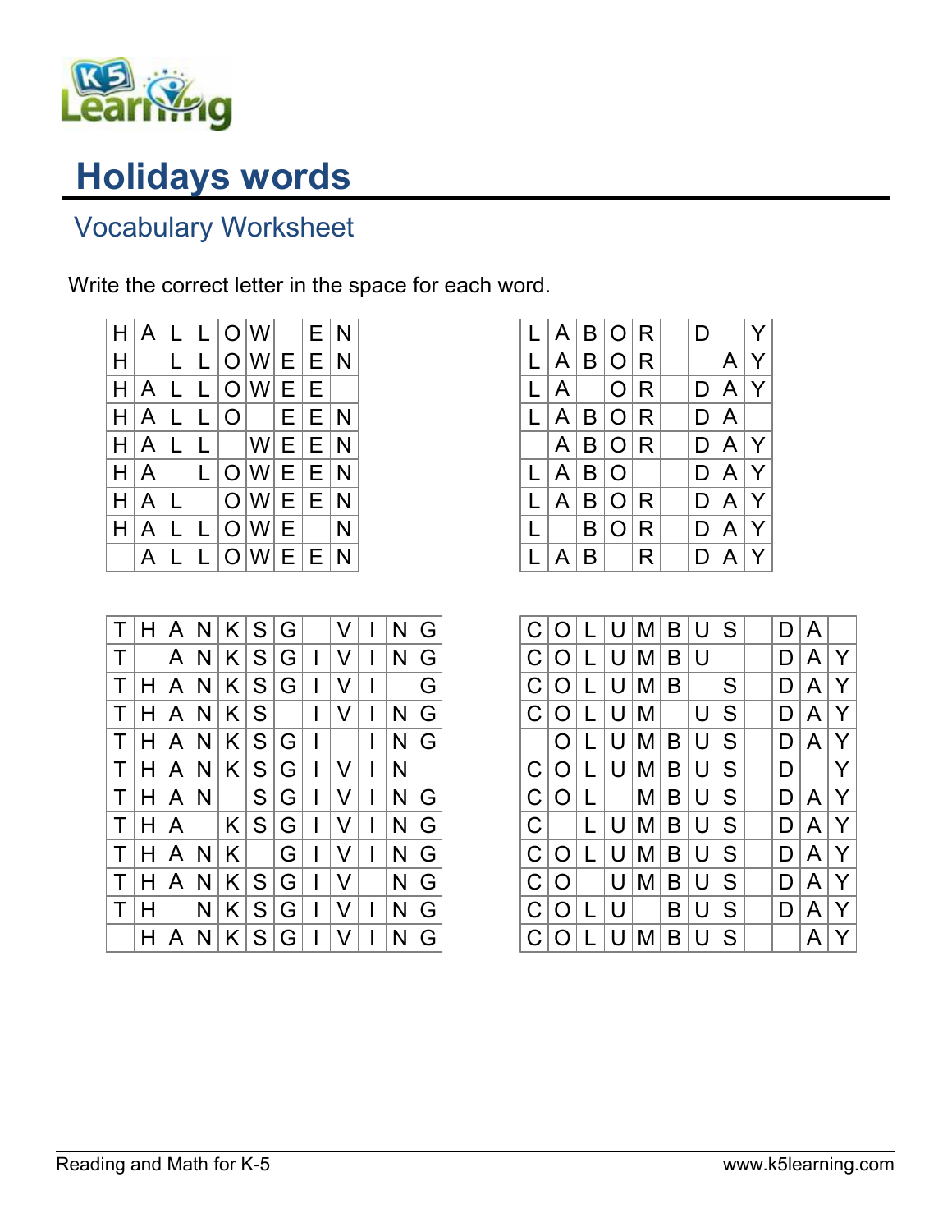

## Holidays words

## Vocabulary Worksheet

Write the correct letter in the space for each word.



| $\mathsf T$  |    |              |           |             |                | H   A   N   K   S   G |                    | V |              | N | G |
|--------------|----|--------------|-----------|-------------|----------------|-----------------------|--------------------|---|--------------|---|---|
| $\mathsf{T}$ |    | A            | N.        |             |                | K S G                 | $\mathbf{I}$       | V | $\mathsf{l}$ | N | G |
| $\mathsf T$  | H  | A            | N         |             |                | K S G                 | $\mathbf{I}$       | V | $\mathsf{l}$ |   | G |
| $\mathsf{T}$ | HI | A            | N         |             | K S            |                       | T                  | V | $\mathsf{l}$ | N | G |
| $\top$       |    | H   A        | N.        |             |                | K S G                 | $\hat{\mathbf{I}}$ |   | I            | N | G |
| $\top$       |    | H[A]         | N         |             |                | K S G                 | $\mathbf{I}$       | V | I            | N |   |
| $\mathsf{T}$ |    |              | H   A   N |             | $ \mathsf{S} $ | G                     | $\overline{1}$     | V | $\mathbf{I}$ | N | G |
| $\top$       | H  | $\mathsf{A}$ |           | K S G       |                |                       | $\mathbf{I}$       | V | $\mathsf{l}$ | N | G |
| $\mathsf{T}$ | H  | A            | N         | $K$ $\vert$ |                | G                     | $\mathbf{I}$       | V | $\mathbf{I}$ | N | G |
| $\mathsf T$  | H  | A            | N         |             | K S G          |                       | $\mathbf{I}$       | V |              | N | G |
| $\top$       | н  |              | N         |             | K S            | G                     | $\mathbf{I}$       | V | I            | N | G |
|              |    | A            | N         |             | K S            | G                     | $\mathbf{I}$       | V | I            | N | G |

|                         |               |    | L  A  B  O   R  |              | D. |                | Y |
|-------------------------|---------------|----|-----------------|--------------|----|----------------|---|
|                         |               |    | L A B O R       |              |    | $\overline{A}$ | Y |
|                         |               |    | $L A $ $ O R$   |              |    | D A Y          |   |
|                         |               |    | L A B O R       |              |    | D A            |   |
|                         |               |    | $A$ $B$ $O$ $R$ |              |    | D A Y          |   |
|                         | L   A   B   O |    |                 |              |    | D A Y          |   |
|                         | L   A         |    | B O             | $\mathsf{R}$ |    | D A Y          |   |
| $\lfloor \cdot \rfloor$ |               | B  | $\mathcal{L}$   | ${\sf R}$    |    | D A Y          |   |
|                         | $\mathsf{A}$  | B. |                 | R            | D. | A Y            |   |

| C           | O          | L | U | M | B | U | S | D | A |   |
|-------------|------------|---|---|---|---|---|---|---|---|---|
|             |            |   |   |   |   |   |   |   |   |   |
| $\mathsf C$ | $\bigcirc$ | L | U | M | B | U |   | D | A | Y |
| $\mathsf C$ | $\bigcirc$ | L | U | M | B |   | S | D | A | Y |
| $\mathsf C$ | $\Omega$   | L | U | M |   | U | S | D | A | Y |
|             | O          | L | U | M | B | U | S | D | A | Y |
| C           | O          | L | U | M | B | U | S | D |   | Y |
| C           | O          | L |   | M | B | U | S | D | A | Ý |
| $\mathsf C$ |            | L | U | Μ | B | U | S | D | Α | Y |
| C           | $\bigcirc$ | L | U | М | B | U | S | D | Α | Y |
| C           | $\bigcirc$ |   | U | М | B | U | S | D | A | Y |
| C           | $\circ$    |   | U |   | B | U | S | D | A | Y |
| C           | O          |   | U | Μ | B | U | S |   | Α | Y |